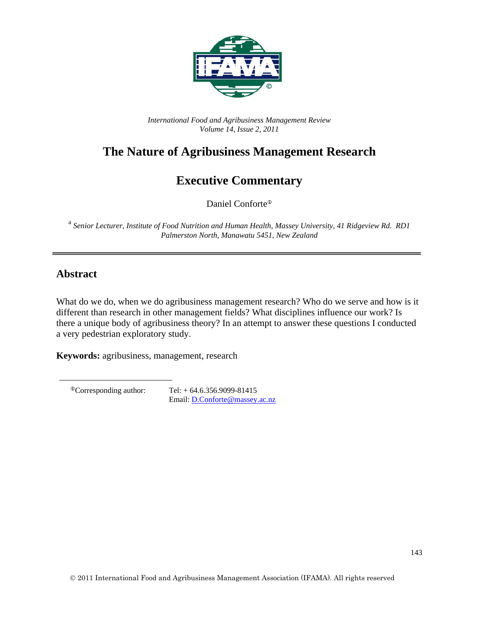

*International Food and Agribusiness Management Review Volume 14, Issue 2, 2011*

# **The Nature of Agribusiness Management Research**

# **Executive Commentary**

Daniel Conforte<sup>®</sup>

 a *Senior Lecturer, Institute of Food Nutrition and Human Health, Massey University, 41 Ridgeview Rd. RD1 Palmerston North, Manawatu 5451, New Zealand* 

## **Abstract**

What do we do, when we do agribusiness management research? Who do we serve and how is it different than research in other management fields? What disciplines influence our work? Is there a unique body of agribusiness theory? In an attempt to answer these questions I conducted a very pedestrian exploratory study.

**Keywords:** agribusiness, management, research

 ${}^{\circ}$ Corresponding author: Tel: +64.6.356.9099-81415 Email: D.Conforte@massey.ac.nz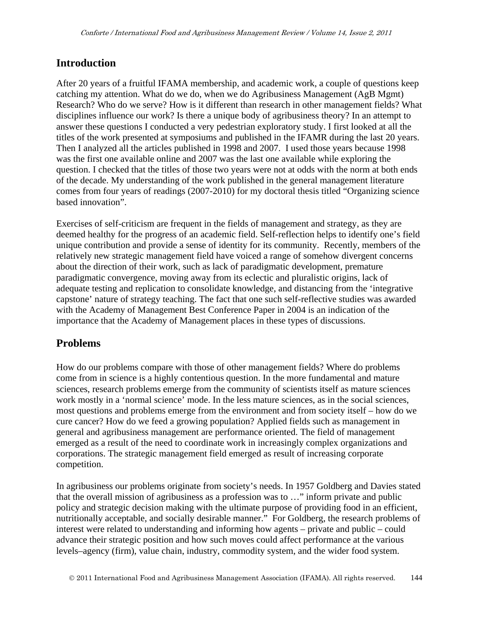### **Introduction**

After 20 years of a fruitful IFAMA membership, and academic work, a couple of questions keep catching my attention. What do we do, when we do Agribusiness Management (AgB Mgmt) Research? Who do we serve? How is it different than research in other management fields? What disciplines influence our work? Is there a unique body of agribusiness theory? In an attempt to answer these questions I conducted a very pedestrian exploratory study. I first looked at all the titles of the work presented at symposiums and published in the IFAMR during the last 20 years. Then I analyzed all the articles published in 1998 and 2007. I used those years because 1998 was the first one available online and 2007 was the last one available while exploring the question. I checked that the titles of those two years were not at odds with the norm at both ends of the decade. My understanding of the work published in the general management literature comes from four years of readings (2007-2010) for my doctoral thesis titled "Organizing science based innovation".

Exercises of self-criticism are frequent in the fields of management and strategy, as they are deemed healthy for the progress of an academic field. Self-reflection helps to identify one's field unique contribution and provide a sense of identity for its community. Recently, members of the relatively new strategic management field have voiced a range of somehow divergent concerns about the direction of their work, such as lack of paradigmatic development, premature paradigmatic convergence, moving away from its eclectic and pluralistic origins, lack of adequate testing and replication to consolidate knowledge, and distancing from the 'integrative capstone' nature of strategy teaching. The fact that one such self-reflective studies was awarded with the Academy of Management Best Conference Paper in 2004 is an indication of the importance that the Academy of Management places in these types of discussions.

## **Problems**

How do our problems compare with those of other management fields? Where do problems come from in science is a highly contentious question. In the more fundamental and mature sciences, research problems emerge from the community of scientists itself as mature sciences work mostly in a 'normal science' mode. In the less mature sciences, as in the social sciences, most questions and problems emerge from the environment and from society itself – how do we cure cancer? How do we feed a growing population? Applied fields such as management in general and agribusiness management are performance oriented. The field of management emerged as a result of the need to coordinate work in increasingly complex organizations and corporations. The strategic management field emerged as result of increasing corporate competition.

In agribusiness our problems originate from society's needs. In 1957 Goldberg and Davies stated that the overall mission of agribusiness as a profession was to …" inform private and public policy and strategic decision making with the ultimate purpose of providing food in an efficient, nutritionally acceptable, and socially desirable manner." For Goldberg, the research problems of interest were related to understanding and informing how agents – private and public – could advance their strategic position and how such moves could affect performance at the various levels–agency (firm), value chain, industry, commodity system, and the wider food system.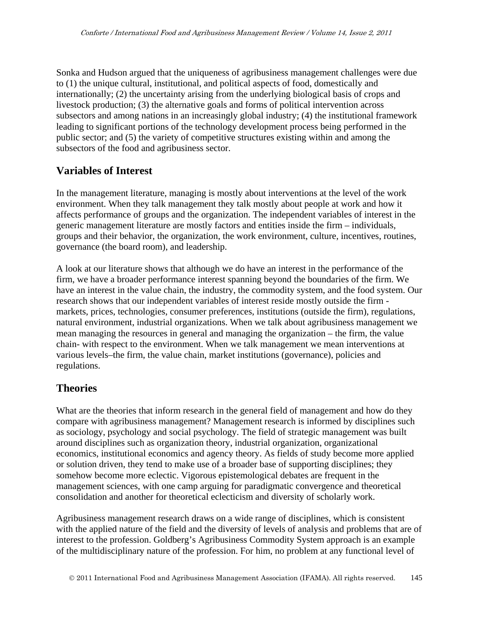Sonka and Hudson argued that the uniqueness of agribusiness management challenges were due to (1) the unique cultural, institutional, and political aspects of food, domestically and internationally; (2) the uncertainty arising from the underlying biological basis of crops and livestock production; (3) the alternative goals and forms of political intervention across subsectors and among nations in an increasingly global industry; (4) the institutional framework leading to significant portions of the technology development process being performed in the public sector; and (5) the variety of competitive structures existing within and among the subsectors of the food and agribusiness sector.

#### **Variables of Interest**

In the management literature, managing is mostly about interventions at the level of the work environment. When they talk management they talk mostly about people at work and how it affects performance of groups and the organization. The independent variables of interest in the generic management literature are mostly factors and entities inside the firm – individuals, groups and their behavior, the organization, the work environment, culture, incentives, routines, governance (the board room), and leadership.

A look at our literature shows that although we do have an interest in the performance of the firm, we have a broader performance interest spanning beyond the boundaries of the firm. We have an interest in the value chain, the industry, the commodity system, and the food system. Our research shows that our independent variables of interest reside mostly outside the firm markets, prices, technologies, consumer preferences, institutions (outside the firm), regulations, natural environment, industrial organizations. When we talk about agribusiness management we mean managing the resources in general and managing the organization – the firm, the value chain- with respect to the environment. When we talk management we mean interventions at various levels–the firm, the value chain, market institutions (governance), policies and regulations.

### **Theories**

What are the theories that inform research in the general field of management and how do they compare with agribusiness management? Management research is informed by disciplines such as sociology, psychology and social psychology. The field of strategic management was built around disciplines such as organization theory, industrial organization, organizational economics, institutional economics and agency theory. As fields of study become more applied or solution driven, they tend to make use of a broader base of supporting disciplines; they somehow become more eclectic. Vigorous epistemological debates are frequent in the management sciences, with one camp arguing for paradigmatic convergence and theoretical consolidation and another for theoretical eclecticism and diversity of scholarly work.

Agribusiness management research draws on a wide range of disciplines, which is consistent with the applied nature of the field and the diversity of levels of analysis and problems that are of interest to the profession. Goldberg's Agribusiness Commodity System approach is an example of the multidisciplinary nature of the profession. For him, no problem at any functional level of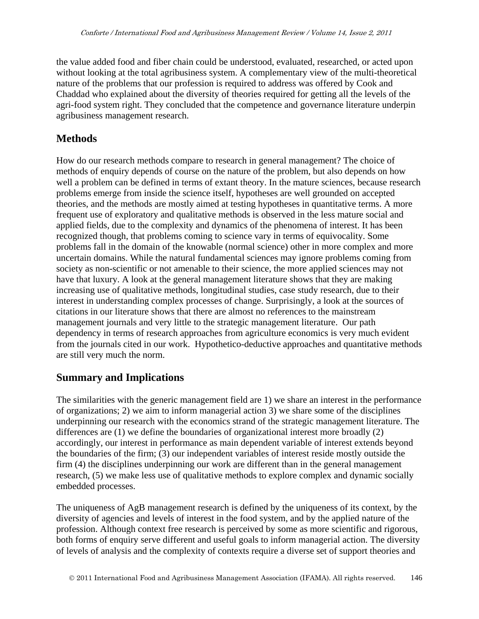the value added food and fiber chain could be understood, evaluated, researched, or acted upon without looking at the total agribusiness system. A complementary view of the multi-theoretical nature of the problems that our profession is required to address was offered by Cook and Chaddad who explained about the diversity of theories required for getting all the levels of the agri-food system right. They concluded that the competence and governance literature underpin agribusiness management research.

## **Methods**

How do our research methods compare to research in general management? The choice of methods of enquiry depends of course on the nature of the problem, but also depends on how well a problem can be defined in terms of extant theory. In the mature sciences, because research problems emerge from inside the science itself, hypotheses are well grounded on accepted theories, and the methods are mostly aimed at testing hypotheses in quantitative terms. A more frequent use of exploratory and qualitative methods is observed in the less mature social and applied fields, due to the complexity and dynamics of the phenomena of interest. It has been recognized though, that problems coming to science vary in terms of equivocality. Some problems fall in the domain of the knowable (normal science) other in more complex and more uncertain domains. While the natural fundamental sciences may ignore problems coming from society as non-scientific or not amenable to their science, the more applied sciences may not have that luxury. A look at the general management literature shows that they are making increasing use of qualitative methods, longitudinal studies, case study research, due to their interest in understanding complex processes of change. Surprisingly, a look at the sources of citations in our literature shows that there are almost no references to the mainstream management journals and very little to the strategic management literature. Our path dependency in terms of research approaches from agriculture economics is very much evident from the journals cited in our work. Hypothetico-deductive approaches and quantitative methods are still very much the norm.

## **Summary and Implications**

The similarities with the generic management field are 1) we share an interest in the performance of organizations; 2) we aim to inform managerial action 3) we share some of the disciplines underpinning our research with the economics strand of the strategic management literature. The differences are (1) we define the boundaries of organizational interest more broadly (2) accordingly, our interest in performance as main dependent variable of interest extends beyond the boundaries of the firm; (3) our independent variables of interest reside mostly outside the firm (4) the disciplines underpinning our work are different than in the general management research, (5) we make less use of qualitative methods to explore complex and dynamic socially embedded processes.

The uniqueness of AgB management research is defined by the uniqueness of its context, by the diversity of agencies and levels of interest in the food system, and by the applied nature of the profession. Although context free research is perceived by some as more scientific and rigorous, both forms of enquiry serve different and useful goals to inform managerial action. The diversity of levels of analysis and the complexity of contexts require a diverse set of support theories and